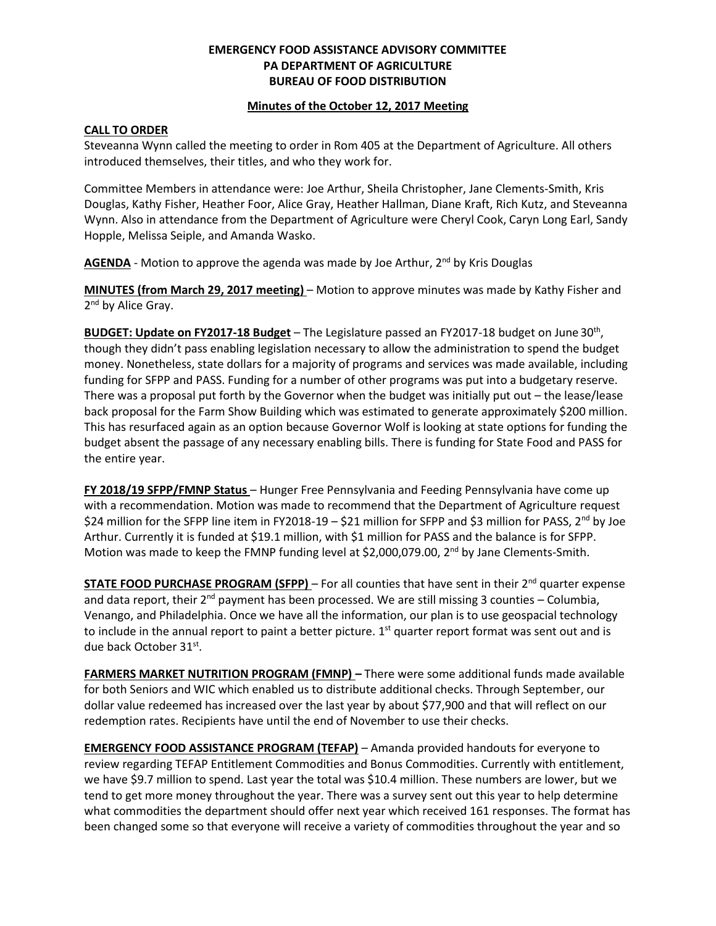# **EMERGENCY FOOD ASSISTANCE ADVISORY COMMITTEE PA DEPARTMENT OF AGRICULTURE BUREAU OF FOOD DISTRIBUTION**

#### **Minutes of the October 12, 2017 Meeting**

## **CALL TO ORDER**

Steveanna Wynn called the meeting to order in Rom 405 at the Department of Agriculture. All others introduced themselves, their titles, and who they work for.

Committee Members in attendance were: Joe Arthur, Sheila Christopher, Jane Clements-Smith, Kris Douglas, Kathy Fisher, Heather Foor, Alice Gray, Heather Hallman, Diane Kraft, Rich Kutz, and Steveanna Wynn. Also in attendance from the Department of Agriculture were Cheryl Cook, Caryn Long Earl, Sandy Hopple, Melissa Seiple, and Amanda Wasko.

AGENDA - Motion to approve the agenda was made by Joe Arthur, 2<sup>nd</sup> by Kris Douglas

**MINUTES (from March 29, 2017 meeting)** – Motion to approve minutes was made by Kathy Fisher and 2<sup>nd</sup> by Alice Gray.

BUDGET: Update on FY2017-18 Budget - The Legislature passed an FY2017-18 budget on June 30<sup>th</sup>, though they didn't pass enabling legislation necessary to allow the administration to spend the budget money. Nonetheless, state dollars for a majority of programs and services was made available, including funding for SFPP and PASS. Funding for a number of other programs was put into a budgetary reserve. There was a proposal put forth by the Governor when the budget was initially put out – the lease/lease back proposal for the Farm Show Building which was estimated to generate approximately \$200 million. This has resurfaced again as an option because Governor Wolf is looking at state options for funding the budget absent the passage of any necessary enabling bills. There is funding for State Food and PASS for the entire year.

**FY 2018/19 SFPP/FMNP Status** – Hunger Free Pennsylvania and Feeding Pennsylvania have come up with a recommendation. Motion was made to recommend that the Department of Agriculture request \$24 million for the SFPP line item in FY2018-19 - \$21 million for SFPP and \$3 million for PASS, 2<sup>nd</sup> by Joe Arthur. Currently it is funded at \$19.1 million, with \$1 million for PASS and the balance is for SFPP. Motion was made to keep the FMNP funding level at \$2,000,079.00, 2<sup>nd</sup> by Jane Clements-Smith.

**STATE FOOD PURCHASE PROGRAM (SFPP)** – For all counties that have sent in their 2<sup>nd</sup> quarter expense and data report, their  $2^{nd}$  payment has been processed. We are still missing 3 counties – Columbia, Venango, and Philadelphia. Once we have all the information, our plan is to use geospacial technology to include in the annual report to paint a better picture.  $1<sup>st</sup>$  quarter report format was sent out and is due back October 31st.

**FARMERS MARKET NUTRITION PROGRAM (FMNP) –** There were some additional funds made available for both Seniors and WIC which enabled us to distribute additional checks. Through September, our dollar value redeemed has increased over the last year by about \$77,900 and that will reflect on our redemption rates. Recipients have until the end of November to use their checks.

**EMERGENCY FOOD ASSISTANCE PROGRAM (TEFAP)** – Amanda provided handouts for everyone to review regarding TEFAP Entitlement Commodities and Bonus Commodities. Currently with entitlement, we have \$9.7 million to spend. Last year the total was \$10.4 million. These numbers are lower, but we tend to get more money throughout the year. There was a survey sent out this year to help determine what commodities the department should offer next year which received 161 responses. The format has been changed some so that everyone will receive a variety of commodities throughout the year and so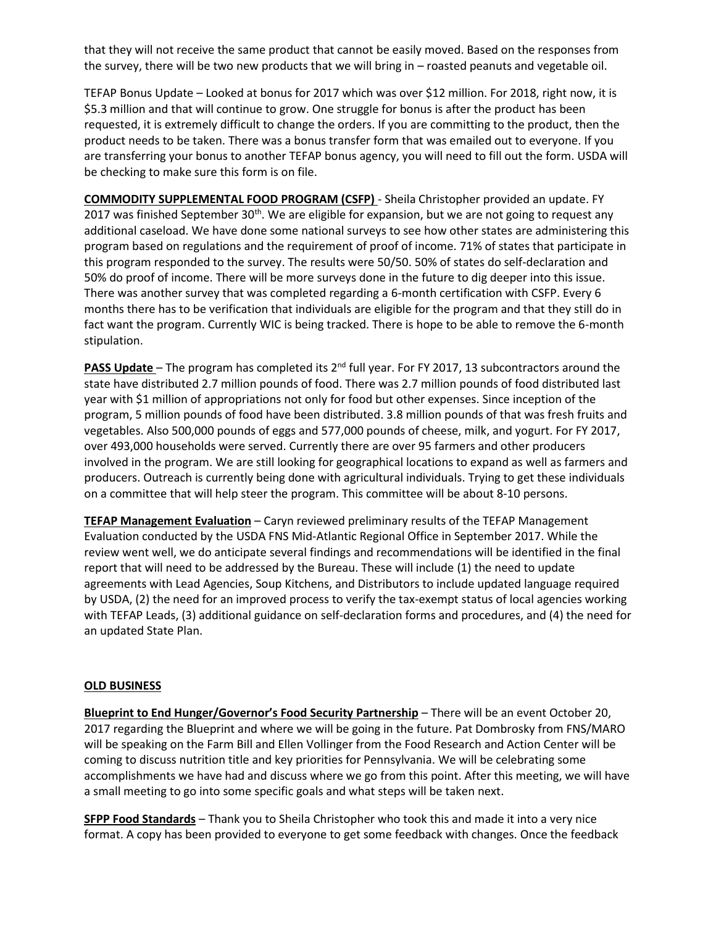that they will not receive the same product that cannot be easily moved. Based on the responses from the survey, there will be two new products that we will bring in – roasted peanuts and vegetable oil.

TEFAP Bonus Update – Looked at bonus for 2017 which was over \$12 million. For 2018, right now, it is \$5.3 million and that will continue to grow. One struggle for bonus is after the product has been requested, it is extremely difficult to change the orders. If you are committing to the product, then the product needs to be taken. There was a bonus transfer form that was emailed out to everyone. If you are transferring your bonus to another TEFAP bonus agency, you will need to fill out the form. USDA will be checking to make sure this form is on file.

**COMMODITY SUPPLEMENTAL FOOD PROGRAM (CSFP)** - Sheila Christopher provided an update. FY 2017 was finished September 30<sup>th</sup>. We are eligible for expansion, but we are not going to request any additional caseload. We have done some national surveys to see how other states are administering this program based on regulations and the requirement of proof of income. 71% of states that participate in this program responded to the survey. The results were 50/50. 50% of states do self-declaration and 50% do proof of income. There will be more surveys done in the future to dig deeper into this issue. There was another survey that was completed regarding a 6-month certification with CSFP. Every 6 months there has to be verification that individuals are eligible for the program and that they still do in fact want the program. Currently WIC is being tracked. There is hope to be able to remove the 6-month stipulation.

**PASS Update** – The program has completed its 2<sup>nd</sup> full year. For FY 2017, 13 subcontractors around the state have distributed 2.7 million pounds of food. There was 2.7 million pounds of food distributed last year with \$1 million of appropriations not only for food but other expenses. Since inception of the program, 5 million pounds of food have been distributed. 3.8 million pounds of that was fresh fruits and vegetables. Also 500,000 pounds of eggs and 577,000 pounds of cheese, milk, and yogurt. For FY 2017, over 493,000 households were served. Currently there are over 95 farmers and other producers involved in the program. We are still looking for geographical locations to expand as well as farmers and producers. Outreach is currently being done with agricultural individuals. Trying to get these individuals on a committee that will help steer the program. This committee will be about 8-10 persons.

**TEFAP Management Evaluation** – Caryn reviewed preliminary results of the TEFAP Management Evaluation conducted by the USDA FNS Mid-Atlantic Regional Office in September 2017. While the review went well, we do anticipate several findings and recommendations will be identified in the final report that will need to be addressed by the Bureau. These will include (1) the need to update agreements with Lead Agencies, Soup Kitchens, and Distributors to include updated language required by USDA, (2) the need for an improved process to verify the tax-exempt status of local agencies working with TEFAP Leads, (3) additional guidance on self-declaration forms and procedures, and (4) the need for an updated State Plan.

#### **OLD BUSINESS**

**Blueprint to End Hunger/Governor's Food Security Partnership** – There will be an event October 20, 2017 regarding the Blueprint and where we will be going in the future. Pat Dombrosky from FNS/MARO will be speaking on the Farm Bill and Ellen Vollinger from the Food Research and Action Center will be coming to discuss nutrition title and key priorities for Pennsylvania. We will be celebrating some accomplishments we have had and discuss where we go from this point. After this meeting, we will have a small meeting to go into some specific goals and what steps will be taken next.

**SFPP Food Standards** – Thank you to Sheila Christopher who took this and made it into a very nice format. A copy has been provided to everyone to get some feedback with changes. Once the feedback